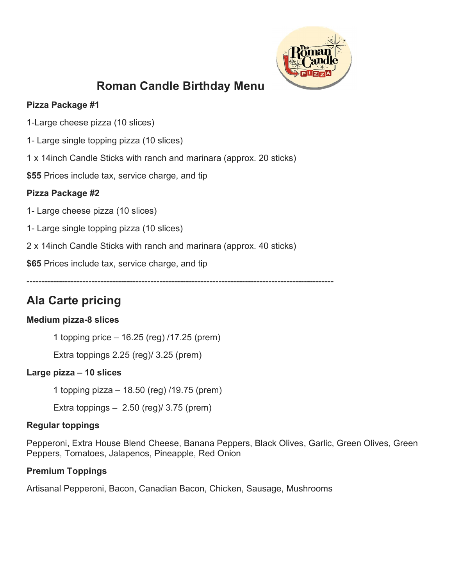

# Roman Candle Birthday Menu

# Pizza Package #1

1-Large cheese pizza (10 slices)

- 1- Large single topping pizza (10 slices)
- 1 x 14inch Candle Sticks with ranch and marinara (approx. 20 sticks)

\$55 Prices include tax, service charge, and tip

## Pizza Package #2

- 1- Large cheese pizza (10 slices)
- 1- Large single topping pizza (10 slices)
- 2 x 14inch Candle Sticks with ranch and marinara (approx. 40 sticks)

\$65 Prices include tax, service charge, and tip

--------------------------------------------------------------------------------------------------------

# Ala Carte pricing

# Medium pizza-8 slices

1 topping price – 16.25 (reg) /17.25 (prem)

Extra toppings 2.25 (reg)/ 3.25 (prem)

# Large pizza – 10 slices

1 topping pizza – 18.50 (reg) /19.75 (prem)

Extra toppings – 2.50 (reg)/ 3.75 (prem)

### Regular toppings

Pepperoni, Extra House Blend Cheese, Banana Peppers, Black Olives, Garlic, Green Olives, Green Peppers, Tomatoes, Jalapenos, Pineapple, Red Onion

# Premium Toppings

Artisanal Pepperoni, Bacon, Canadian Bacon, Chicken, Sausage, Mushrooms